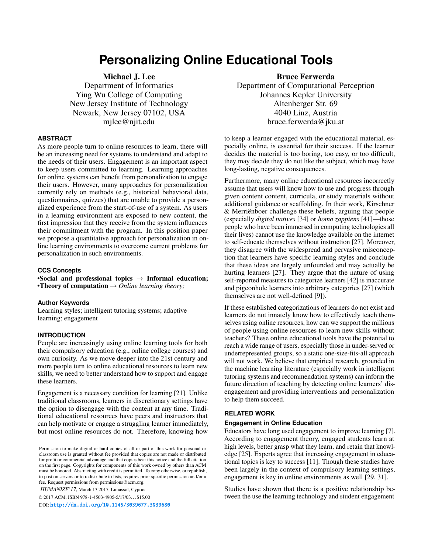# **Personalizing Online Educational Tools**

Michael J. Lee

Department of Informatics Ying Wu College of Computing New Jersey Institute of Technology Newark, New Jersey 07102, USA mjlee@njit.edu

#### **ABSTRACT**

As more people turn to online resources to learn, there will be an increasing need for systems to understand and adapt to the needs of their users. Engagement is an important aspect to keep users committed to learning. Learning approaches for online systems can benefit from personalization to engage their users. However, many approaches for personalization currently rely on methods (e.g., historical behavioral data, questionnaires, quizzes) that are unable to provide a personalized experience from the start-of-use of a system. As users in a learning environment are exposed to new content, the first impression that they receive from the system influences their commitment with the program. In this position paper we propose a quantitative approach for personalization in online learning environments to overcome current problems for personalization in such environments.

#### **CCS Concepts**

•Social and professional topics  $\rightarrow$  Informal education; •Theory of computation → *Online learning theory;*

#### **Author Keywords**

Learning styles; intelligent tutoring systems; adaptive learning; engagement

#### **INTRODUCTION**

People are increasingly using online learning tools for both their compulsory education (e.g., online college courses) and own curiosity. As we move deeper into the 21st century and more people turn to online educational resources to learn new skills, we need to better understand how to support and engage these learners.

Engagement is a necessary condition for learning [\[21\]](#page-3-0). Unlike traditional classrooms, learners in discretionary settings have the option to disengage with the content at any time. Traditional educational resources have peers and instructors that can help motivate or engage a struggling learner immediately, but most online resources do not. Therefore, knowing how

*HUMANIZE'17,* March 13 2017, Limassol, Cyprus

© 2017 ACM. ISBN 978-1-4503-4905-5/17/03. . . \$15.00

DOI: <http://dx.doi.org/10.1145/3039677.3039680>

# Bruce Ferwerda

Department of Computational Perception Johannes Kepler University Altenberger Str. 69 4040 Linz, Austria bruce.ferwerda@jku.at

to keep a learner engaged with the educational material, especially online, is essential for their success. If the learner decides the material is too boring, too easy, or too difficult, they may decide they do not like the subject, which may have long-lasting, negative consequences.

Furthermore, many online educational resources incorrectly assume that users will know how to use and progress through given content content, curricula, or study materials without additional guidance or scaffolding. In their work, Kirschner & Merriënboer challenge these beliefs, arguing that people (especially *digital natives* [\[34\]](#page-3-1) or *homo zappiens* [\[41\]](#page-3-2)—those people who have been immersed in computing technologies all their lives) cannot use the knowledge available on the internet to self-educate themselves without instruction [\[27\]](#page-3-3). Moreover, they disagree with the widespread and pervasive misconception that learners have specific learning styles and conclude that these ideas are largely unfounded and may actually be hurting learners [\[27\]](#page-3-3). They argue that the nature of using self-reported measures to categorize learners [\[42\]](#page-3-4) is inaccurate and pigeonhole learners into arbitrary categories [\[27\]](#page-3-3) (which themselves are not well-defined [\[9\]](#page-2-0)).

If these established categorizations of learners do not exist and learners do not innately know how to effectively teach themselves using online resources, how can we support the millions of people using online resources to learn new skills without teachers? These online educational tools have the potential to reach a wide range of users, especially those in under-served or underrepresented groups, so a static one-size-fits-all approach will not work. We believe that empirical research, grounded in the machine learning literature (especially work in intelligent tutoring systems and recommendation systems) can inform the future direction of teaching by detecting online learners' disengagement and providing interventions and personalization to help them succeed.

#### **RELATED WORK**

#### **Engagement in Online Education**

Educators have long used engagement to improve learning [\[7\]](#page-2-1). According to engagement theory, engaged students learn at high levels, better grasp what they learn, and retain that knowledge [\[25\]](#page-3-5). Experts agree that increasing engagement in educational topics is key to success [\[11\]](#page-2-2). Though these studies have been largely in the context of compulsory learning settings, engagement is key in online environments as well [\[29,](#page-3-6) [31\]](#page-3-7).

Studies have shown that there is a positive relationship between the use the learning technology and student engagement

Permission to make digital or hard copies of all or part of this work for personal or classroom use is granted without fee provided that copies are not made or distributed for profit or commercial advantage and that copies bear this notice and the full citation on the first page. Copyrights for components of this work owned by others than ACM must be honored. Abstracting with credit is permitted. To copy otherwise, or republish, to post on servers or to redistribute to lists, requires prior specific permission and/or a fee. Request permissions from permissions@acm.org.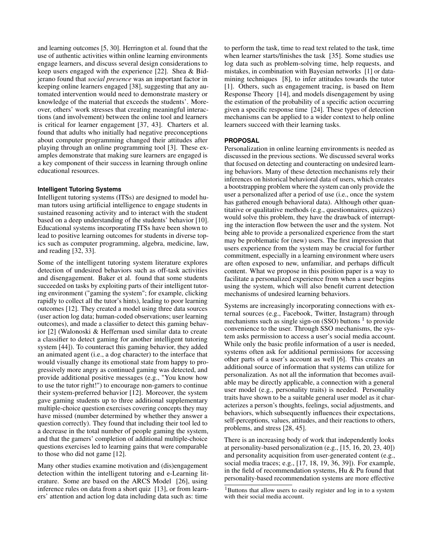and learning outcomes [\[5,](#page-2-3) [30\]](#page-3-8). Herrington et al. found that the use of authentic activities within online learning environments engage learners, and discuss several design considerations to keep users engaged with the experience [\[22\]](#page-3-9). Shea & Bidjerano found that *social presence* was an important factor in keeping online learners engaged [\[38\]](#page-3-10), suggesting that any automated intervention would need to demonstrate mastery or knowledge of the material that exceeds the students'. Moreover, others' work stresses that creating meaningful interactions (and involvement) between the online tool and learners is critical for learner engagement [\[37,](#page-3-11) [43\]](#page-3-12). Charters et al. found that adults who initially had negative preconceptions about computer programming changed their attitudes after playing through an online programming tool [\[3\]](#page-2-4). These examples demonstrate that making sure learners are engaged is a key component of their success in learning through online educational resources.

#### **Intelligent Tutoring Systems**

Intelligent tutoring systems (ITSs) are designed to model human tutors using artificial intelligence to engage students in sustained reasoning activity and to interact with the student based on a deep understanding of the students' behavior [\[10\]](#page-2-5). Educational systems incorporating ITSs have been shown to lead to positive learning outcomes for students in diverse topics such as computer programming, algebra, medicine, law, and reading [\[32,](#page-3-13) [33\]](#page-3-14).

Some of the intelligent tutoring system literature explores detection of undesired behaviors such as off-task activities and disengagement. Baker et al. found that some students succeeded on tasks by exploiting parts of their intelligent tutoring environment ("gaming the system"; for example, clicking rapidly to collect all the tutor's hints), leading to poor learning outcomes [\[12\]](#page-2-6). They created a model using three data sources (user action log data; human-coded observations; user learning outcomes), and made a classifier to detect this gaming behavior [\[2\]](#page-2-7) (Walonoski & Heffernan used similar data to create a classifier to detect gaming for another intelligent tutoring system [\[44\]](#page-3-15)). To counteract this gaming behavior, they added an animated agent (i.e., a dog character) to the interface that would visually change its emotional state from happy to progressively more angry as continued gaming was detected, and provide additional positive messages (e.g., "You know how to use the tutor right!") to encourage non-gamers to continue their system-preferred behavior [\[12\]](#page-2-6). Moreover, the system gave gaming students up to three additional supplementary multiple-choice question exercises covering concepts they may have missed (number determined by whether they answer a question correctly). They found that including their tool led to a decrease in the total number of people gaming the system, and that the gamers' completion of additional multiple-choice questions exercises led to learning gains that were comparable to those who did not game [\[12\]](#page-2-6).

Many other studies examine motivation and (dis)engagement detection within the intelligent tutoring and e-Learning literature. Some are based on the ARCS Model [\[26\]](#page-3-16), using inference rules on data from a short quiz [\[13\]](#page-2-8), or from learners' attention and action log data including data such as: time

to perform the task, time to read text related to the task, time when learner starts/finishes the task [\[35\]](#page-3-17). Some studies use log data such as problem-solving time, help requests, and mistakes, in combination with Bayesian networks [\[1\]](#page-2-9) or datamining techniques [\[8\]](#page-2-10), to infer attitudes towards the tutor [\[1\]](#page-2-9). Others, such as engagement tracing, is based on Item Response Theory [\[14\]](#page-2-11), and models disengagement by using the estimation of the probability of a specific action occurring given a specific response time [\[24\]](#page-3-18). These types of detection mechanisms can be applied to a wider context to help online learners succeed with their learning tasks.

## **PROPOSAL**

Personalization in online learning environments is needed as discussed in the previous sections. We discussed several works that focused on detecting and counteracting on undesired learning behaviors. Many of these detection mechanisms rely their inferences on historical behavioral data of users, which creates a bootstrapping problem where the system can only provide the user a personalized after a period of use (i.e., once the system has gathered enough behavioral data). Although other quantitative or qualitative methods (e.g., questionnaires, quizzes) would solve this problem, they have the drawback of interrupting the interaction flow between the user and the system. Not being able to provide a personalized experience from the start may be problematic for (new) users. The first impression that users experience from the system may be crucial for further commitment, especially in a learning environment where users are often exposed to new, unfamiliar, and perhaps difficult content. What we propose in this position paper is a way to facilitate a personalized experience from when a user begins using the system, which will also benefit current detection mechanisms of undesired learning behaviors.

Systems are increasingly incorporating connections with external sources (e.g., Facebook, Twitter, Instagram) through mechanisms such as single sign-on  $(SSO)$  buttons  $<sup>1</sup>$  $<sup>1</sup>$  $<sup>1</sup>$  to provide</sup> convenience to the user. Through SSO mechanisms, the system asks permission to access a user's social media account. While only the basic profile information of a user is needed, systems often ask for additional permissions for accessing other parts of a user's account as well [\[6\]](#page-2-12). This creates an additional source of information that systems can utilize for personalization. As not all the information that becomes available may be directly applicable, a connection with a general user model (e.g., personality traits) is needed. Personality traits have shown to be a suitable general user model as it characterizes a person's thoughts, feelings, social adjustments, and behaviors, which subsequently influences their expectations, self-perceptions, values, attitudes, and their reactions to others, problems, and stress [\[28,](#page-3-19) [45\]](#page-3-20).

There is an increasing body of work that independently looks at personality-based personalization (e.g., [\[15,](#page-2-13) [16,](#page-2-14) [20,](#page-3-21) [23,](#page-3-22) [40\]](#page-3-23)) and personality acquisition from user-generated content (e.g., social media traces; e.g., [\[17,](#page-2-15) [18,](#page-3-24) [19,](#page-3-25) [36,](#page-3-26) [39\]](#page-3-27)). For example, in the field of recommendation systems, Hu & Pu found that personality-based recommendation systems are more effective

<span id="page-1-0"></span><sup>&</sup>lt;sup>1</sup>Buttons that allow users to easily register and log in to a system with their social media account.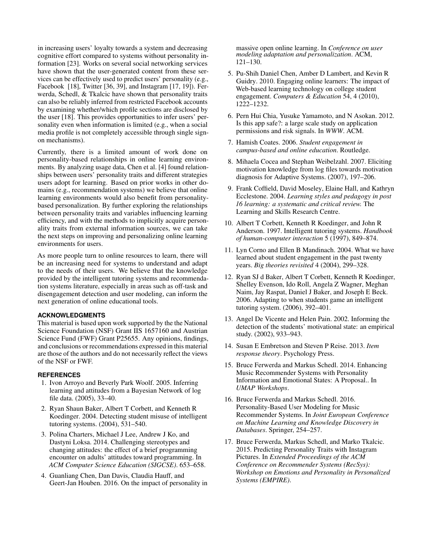in increasing users' loyalty towards a system and decreasing cognitive effort compared to systems without personality information [\[23\]](#page-3-22). Works on several social networking services have shown that the user-generated content from these services can be effectively used to predict users' personality (e.g., Facebook [\[18\]](#page-3-24), Twitter [\[36,](#page-3-26) [39\]](#page-3-27), and Instagram [\[17,](#page-2-15) [19\]](#page-3-25)). Ferwerda, Schedl, & Tkalcic have shown that personality traits can also be reliably inferred from restricted Facebook accounts by examining whether/which profile sections are disclosed by the user [\[18\]](#page-3-24). This provides opportunities to infer users' personality even when information is limited (e.g., when a social media profile is not completely accessible through single signon mechanisms).

Currently, there is a limited amount of work done on personality-based relationships in online learning environments. By analyzing usage data, Chen et al. [\[4\]](#page-2-16) found relationships between users' personality traits and different strategies users adopt for learning. Based on prior works in other domains (e.g., recommendation systems) we believe that online learning environments would also benefit from personalitybased personalization. By further exploring the relationships between personality traits and variables influencing learning efficiency, and with the methods to implicitly acquire personality traits from external information sources, we can take the next steps on improving and personalizing online learning environments for users.

As more people turn to online resources to learn, there will be an increasing need for systems to understand and adapt to the needs of their users. We believe that the knowledge provided by the intelligent tutoring systems and recommendation systems literature, especially in areas such as off-task and disengagement detection and user modeling, can inform the next generation of online educational tools.

## **ACKNOWLEDGMENTS**

This material is based upon work supported by the the National Science Foundation (NSF) Grant IIS 1657160 and Austrian Science Fund (FWF) Grant P25655. Any opinions, findings, and conclusions or recommendations expressed in this material are those of the authors and do not necessarily reflect the views of the NSF or FWF.

#### <span id="page-2-9"></span>**REFERENCES**

- 1. Ivon Arroyo and Beverly Park Woolf. 2005. Inferring learning and attitudes from a Bayesian Network of log file data. (2005), 33–40.
- <span id="page-2-7"></span>2. Ryan Shaun Baker, Albert T Corbett, and Kenneth R Koedinger. 2004. Detecting student misuse of intelligent tutoring systems. (2004), 531–540.
- <span id="page-2-4"></span>3. Polina Charters, Michael J Lee, Andrew J Ko, and Dastyni Loksa. 2014. Challenging stereotypes and changing attitudes: the effect of a brief programming encounter on adults' attitudes toward programming. In *ACM Computer Science Education (SIGCSE)*. 653–658.
- <span id="page-2-16"></span>4. Guanliang Chen, Dan Davis, Claudia Hauff, and Geert-Jan Houben. 2016. On the impact of personality in

massive open online learning. In *Conference on user modeling adaptation and personalization*. ACM, 121–130.

- <span id="page-2-3"></span>5. Pu-Shih Daniel Chen, Amber D Lambert, and Kevin R Guidry. 2010. Engaging online learners: The impact of Web-based learning technology on college student engagement. *Computers & Education* 54, 4 (2010), 1222–1232.
- <span id="page-2-12"></span>6. Pern Hui Chia, Yusuke Yamamoto, and N Asokan. 2012. Is this app safe?: a large scale study on application permissions and risk signals. In *WWW*. ACM.
- <span id="page-2-1"></span>7. Hamish Coates. 2006. *Student engagement in campus-based and online education*. Routledge.
- <span id="page-2-10"></span>8. Mihaela Cocea and Stephan Weibelzahl. 2007. Eliciting motivation knowledge from log files towards motivation diagnosis for Adaptive Systems. (2007), 197–206.
- <span id="page-2-0"></span>9. Frank Coffield, David Moseley, Elaine Hall, and Kathryn Ecclestone. 2004. *Learning styles and pedagogy in post 16 learning: a systematic and critical review.* The Learning and Skills Research Centre.
- <span id="page-2-5"></span>10. Albert T Corbett, Kenneth R Koedinger, and John R Anderson. 1997. Intelligent tutoring systems. *Handbook of human-computer interaction* 5 (1997), 849–874.
- <span id="page-2-2"></span>11. Lyn Corno and Ellen B Mandinach. 2004. What we have learned about student engagement in the past twenty years. *Big theories revisited* 4 (2004), 299–328.
- <span id="page-2-6"></span>12. Ryan SJ d Baker, Albert T Corbett, Kenneth R Koedinger, Shelley Evenson, Ido Roll, Angela Z Wagner, Meghan Naim, Jay Raspat, Daniel J Baker, and Joseph E Beck. 2006. Adapting to when students game an intelligent tutoring system. (2006), 392–401.
- <span id="page-2-8"></span>13. Angel De Vicente and Helen Pain. 2002. Informing the detection of the students' motivational state: an empirical study. (2002), 933–943.
- <span id="page-2-11"></span>14. Susan E Embretson and Steven P Reise. 2013. *Item response theory*. Psychology Press.
- <span id="page-2-13"></span>15. Bruce Ferwerda and Markus Schedl. 2014. Enhancing Music Recommender Systems with Personality Information and Emotional States: A Proposal.. In *UMAP Workshops*.
- <span id="page-2-14"></span>16. Bruce Ferwerda and Markus Schedl. 2016. Personality-Based User Modeling for Music Recommender Systems. In *Joint European Conference on Machine Learning and Knowledge Discovery in Databases*. Springer, 254–257.
- <span id="page-2-15"></span>17. Bruce Ferwerda, Markus Schedl, and Marko Tkalcic. 2015. Predicting Personality Traits with Instagram Pictures. In *Extended Proceedings of the ACM Conference on Recommender Systems (RecSys): Workshop on Emotions and Personality in Personalized Systems (EMPIRE)*.